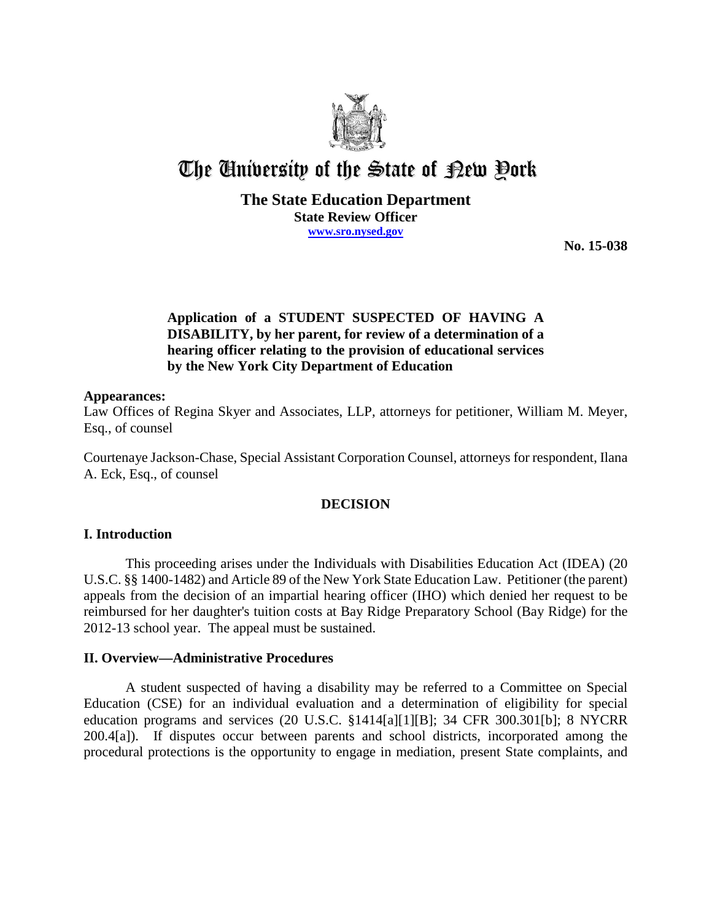

# The University of the State of Pew Pork

# **The State Education Department State Review Officer www.sro.nysed.gov**

**No. 15-038** 

# **Application of a STUDENT SUSPECTED OF HAVING A DISABILITY, by her parent, for review of a determination of a hearing officer relating to the provision of educational services by the New York City Department of Education**

## **Appearances:**

Law Offices of Regina Skyer and Associates, LLP, attorneys for petitioner, William M. Meyer, Esq., of counsel

Courtenaye Jackson-Chase, Special Assistant Corporation Counsel, attorneys for respondent, Ilana A. Eck, Esq., of counsel

# **DECISION**

# **I. Introduction**

This proceeding arises under the Individuals with Disabilities Education Act (IDEA) (20 U.S.C. §§ 1400-1482) and Article 89 of the New York State Education Law. Petitioner (the parent) appeals from the decision of an impartial hearing officer (IHO) which denied her request to be reimbursed for her daughter's tuition costs at Bay Ridge Preparatory School (Bay Ridge) for the 2012-13 school year. The appeal must be sustained.

# **II. Overview—Administrative Procedures**

A student suspected of having a disability may be referred to a Committee on Special Education (CSE) for an individual evaluation and a determination of eligibility for special education programs and services (20 U.S.C. §1414[a][1][B]; 34 CFR 300.301[b]; 8 NYCRR 200.4[a]). If disputes occur between parents and school districts, incorporated among the procedural protections is the opportunity to engage in mediation, present State complaints, and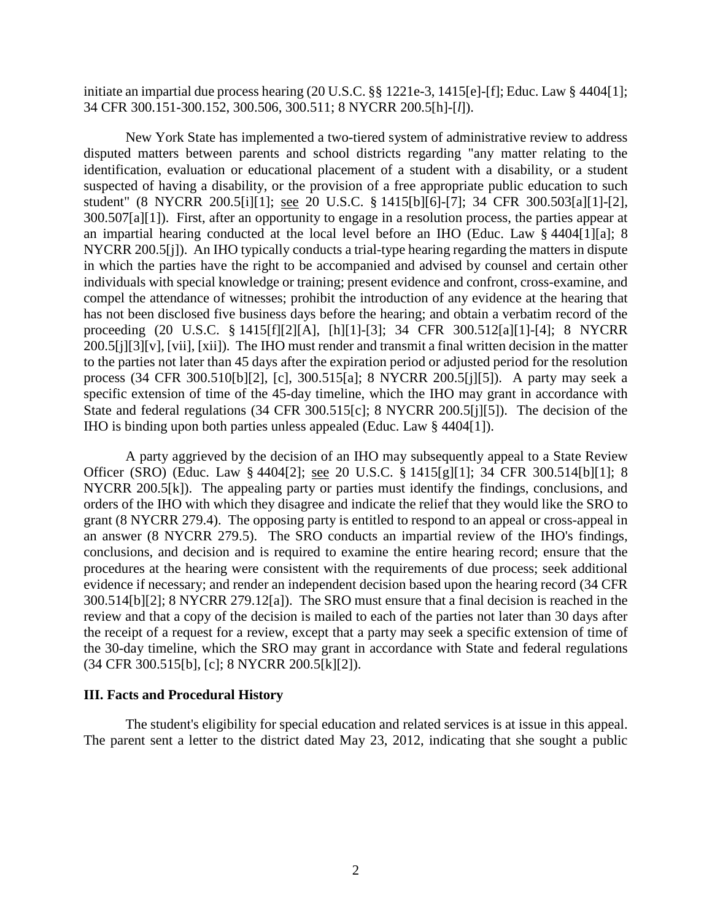initiate an impartial due process hearing (20 U.S.C. §§ 1221e-3, 1415[e]-[f]; Educ. Law § 4404[1]; 34 CFR 300.151-300.152, 300.506, 300.511; 8 NYCRR 200.5[h]-[*l*]).

New York State has implemented a two-tiered system of administrative review to address disputed matters between parents and school districts regarding "any matter relating to the identification, evaluation or educational placement of a student with a disability, or a student suspected of having a disability, or the provision of a free appropriate public education to such student" (8 NYCRR 200.5[i][1]; see 20 U.S.C. § 1415[b][6]-[7]; 34 CFR 300.503[a][1]-[2], 300.507[a][1]). First, after an opportunity to engage in a resolution process, the parties appear at an impartial hearing conducted at the local level before an IHO (Educ. Law § 4404[1][a]; 8 NYCRR 200.5[j]). An IHO typically conducts a trial-type hearing regarding the matters in dispute in which the parties have the right to be accompanied and advised by counsel and certain other individuals with special knowledge or training; present evidence and confront, cross-examine, and compel the attendance of witnesses; prohibit the introduction of any evidence at the hearing that has not been disclosed five business days before the hearing; and obtain a verbatim record of the proceeding (20 U.S.C. § 1415[f][2][A], [h][1]-[3]; 34 CFR 300.512[a][1]-[4]; 8 NYCRR 200.5[j][3][v], [vii], [xii]). The IHO must render and transmit a final written decision in the matter to the parties not later than 45 days after the expiration period or adjusted period for the resolution process (34 CFR 300.510[b][2], [c], 300.515[a]; 8 NYCRR 200.5[j][5]). A party may seek a specific extension of time of the 45-day timeline, which the IHO may grant in accordance with State and federal regulations (34 CFR 300.515[c]; 8 NYCRR 200.5[j][5]). The decision of the IHO is binding upon both parties unless appealed (Educ. Law § 4404[1]).

A party aggrieved by the decision of an IHO may subsequently appeal to a State Review Officer (SRO) (Educ. Law § 4404[2]; see 20 U.S.C. § 1415[g][1]; 34 CFR 300.514[b][1]; 8 NYCRR 200.5[k]). The appealing party or parties must identify the findings, conclusions, and orders of the IHO with which they disagree and indicate the relief that they would like the SRO to grant (8 NYCRR 279.4). The opposing party is entitled to respond to an appeal or cross-appeal in an answer (8 NYCRR 279.5). The SRO conducts an impartial review of the IHO's findings, conclusions, and decision and is required to examine the entire hearing record; ensure that the procedures at the hearing were consistent with the requirements of due process; seek additional evidence if necessary; and render an independent decision based upon the hearing record (34 CFR 300.514[b][2]; 8 NYCRR 279.12[a]). The SRO must ensure that a final decision is reached in the review and that a copy of the decision is mailed to each of the parties not later than 30 days after the receipt of a request for a review, except that a party may seek a specific extension of time of the 30-day timeline, which the SRO may grant in accordance with State and federal regulations (34 CFR 300.515[b], [c]; 8 NYCRR 200.5[k][2]).

### **III. Facts and Procedural History**

The student's eligibility for special education and related services is at issue in this appeal. The parent sent a letter to the district dated May 23, 2012, indicating that she sought a public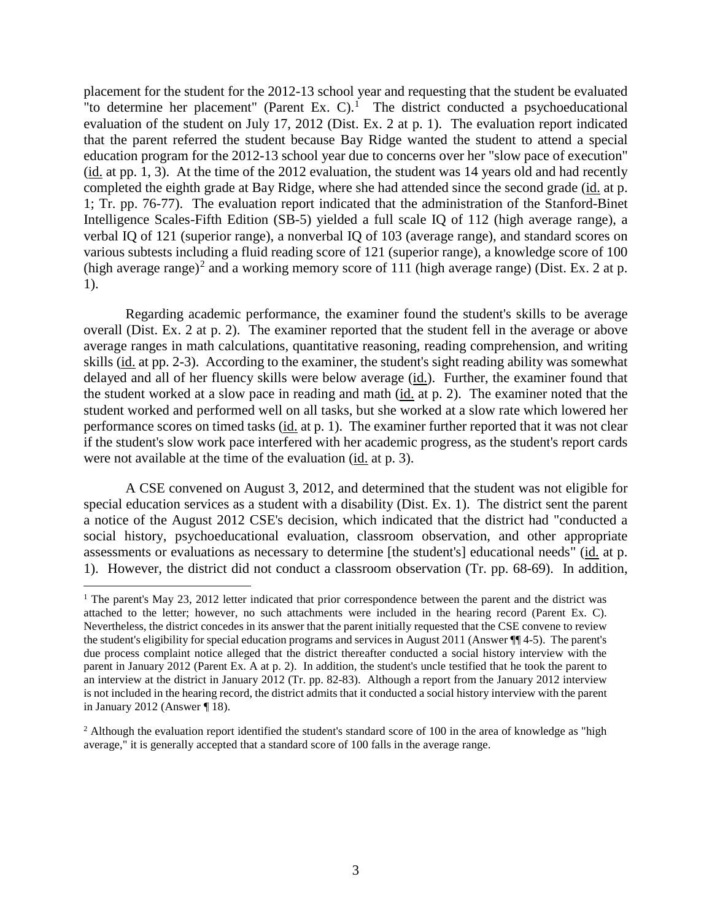placement for the student for the 2012-13 school year and requesting that the student be evaluated "to determine her placement" (Parent Ex. C). $1$  The district conducted a psychoeducational evaluation of the student on July 17, 2012 (Dist. Ex. 2 at p. 1). The evaluation report indicated that the parent referred the student because Bay Ridge wanted the student to attend a special education program for the 2012-13 school year due to concerns over her "slow pace of execution" (id. at pp. 1, 3). At the time of the 2012 evaluation, the student was 14 years old and had recently completed the eighth grade at Bay Ridge, where she had attended since the second grade (id. at p. 1; Tr. pp. 76-77). The evaluation report indicated that the administration of the Stanford-Binet Intelligence Scales-Fifth Edition (SB-5) yielded a full scale IQ of 112 (high average range), a verbal IQ of 121 (superior range), a nonverbal IQ of 103 (average range), and standard scores on various subtests including a fluid reading score of 121 (superior range), a knowledge score of 100 (high average range)<sup>2</sup> and a working memory score of 111 (high average range) (Dist. Ex. 2 at p. 1).

Regarding academic performance, the examiner found the student's skills to be average overall (Dist. Ex. 2 at p. 2). The examiner reported that the student fell in the average or above average ranges in math calculations, quantitative reasoning, reading comprehension, and writing skills (id. at pp. 2-3). According to the examiner, the student's sight reading ability was somewhat delayed and all of her fluency skills were below average (id.). Further, the examiner found that the student worked at a slow pace in reading and math (id. at p. 2). The examiner noted that the student worked and performed well on all tasks, but she worked at a slow rate which lowered her performance scores on timed tasks (id. at p. 1). The examiner further reported that it was not clear if the student's slow work pace interfered with her academic progress, as the student's report cards were not available at the time of the evaluation (id. at p. 3).

A CSE convened on August 3, 2012, and determined that the student was not eligible for special education services as a student with a disability (Dist. Ex. 1). The district sent the parent a notice of the August 2012 CSE's decision, which indicated that the district had "conducted a social history, psychoeducational evaluation, classroom observation, and other appropriate assessments or evaluations as necessary to determine [the student's] educational needs" (id. at p. 1). However, the district did not conduct a classroom observation (Tr. pp. 68-69). In addition,

<sup>&</sup>lt;sup>1</sup> The parent's May 23, 2012 letter indicated that prior correspondence between the parent and the district was attached to the letter; however, no such attachments were included in the hearing record (Parent Ex. C). Nevertheless, the district concedes in its answer that the parent initially requested that the CSE convene to review the student's eligibility for special education programs and services in August 2011 (Answer ¶¶ 4-5). The parent's due process complaint notice alleged that the district thereafter conducted a social history interview with the parent in January 2012 (Parent Ex. A at p. 2). In addition, the student's uncle testified that he took the parent to an interview at the district in January 2012 (Tr. pp. 82-83). Although a report from the January 2012 interview is not included in the hearing record, the district admits that it conducted a social history interview with the parent in January 2012 (Answer ¶ 18).

 $<sup>2</sup>$  Although the evaluation report identified the student's standard score of 100 in the area of knowledge as "high</sup> average," it is generally accepted that a standard score of 100 falls in the average range.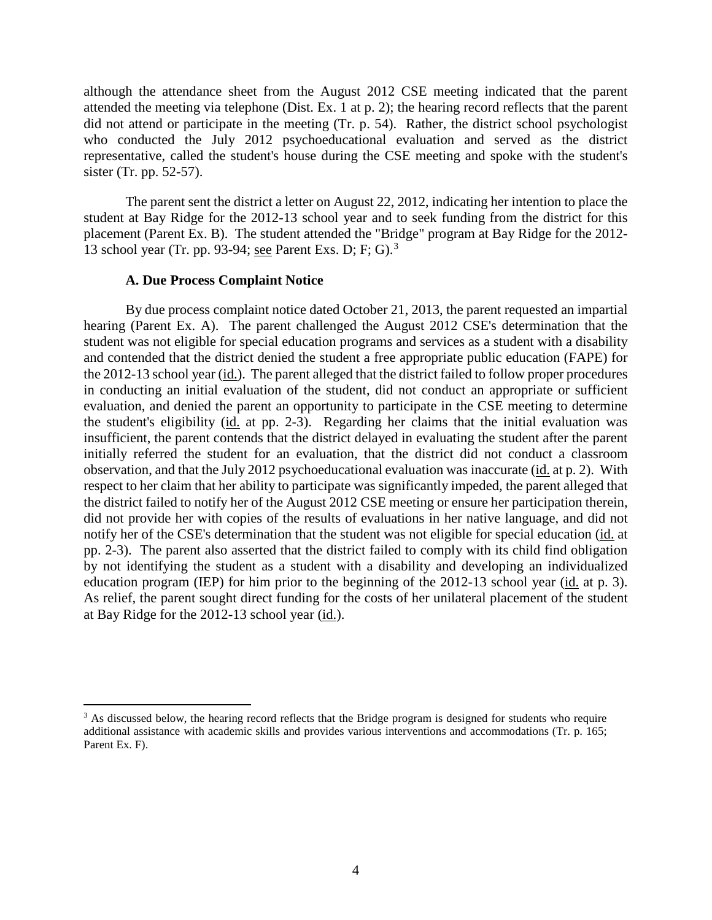although the attendance sheet from the August 2012 CSE meeting indicated that the parent attended the meeting via telephone (Dist. Ex. 1 at p. 2); the hearing record reflects that the parent did not attend or participate in the meeting (Tr. p. 54). Rather, the district school psychologist who conducted the July 2012 psychoeducational evaluation and served as the district representative, called the student's house during the CSE meeting and spoke with the student's sister (Tr. pp. 52-57).

The parent sent the district a letter on August 22, 2012, indicating her intention to place the student at Bay Ridge for the 2012-13 school year and to seek funding from the district for this placement (Parent Ex. B). The student attended the "Bridge" program at Bay Ridge for the 2012- 13 school year (Tr. pp. 93-94; see Parent Exs. D; F; G).<sup>3</sup>

#### **A. Due Process Complaint Notice**

By due process complaint notice dated October 21, 2013, the parent requested an impartial hearing (Parent Ex. A). The parent challenged the August 2012 CSE's determination that the student was not eligible for special education programs and services as a student with a disability and contended that the district denied the student a free appropriate public education (FAPE) for the 2012-13 school year  $(id)$ . The parent alleged that the district failed to follow proper procedures in conducting an initial evaluation of the student, did not conduct an appropriate or sufficient evaluation, and denied the parent an opportunity to participate in the CSE meeting to determine the student's eligibility (id. at pp. 2-3). Regarding her claims that the initial evaluation was insufficient, the parent contends that the district delayed in evaluating the student after the parent initially referred the student for an evaluation, that the district did not conduct a classroom observation, and that the July 2012 psychoeducational evaluation was inaccurate (id. at p. 2). With respect to her claim that her ability to participate was significantly impeded, the parent alleged that the district failed to notify her of the August 2012 CSE meeting or ensure her participation therein, did not provide her with copies of the results of evaluations in her native language, and did not notify her of the CSE's determination that the student was not eligible for special education (id. at pp. 2-3). The parent also asserted that the district failed to comply with its child find obligation by not identifying the student as a student with a disability and developing an individualized education program (IEP) for him prior to the beginning of the 2012-13 school year (id. at p. 3). As relief, the parent sought direct funding for the costs of her unilateral placement of the student at Bay Ridge for the 2012-13 school year (id.).

<sup>&</sup>lt;sup>3</sup> As discussed below, the hearing record reflects that the Bridge program is designed for students who require additional assistance with academic skills and provides various interventions and accommodations (Tr. p. 165; Parent Ex. F).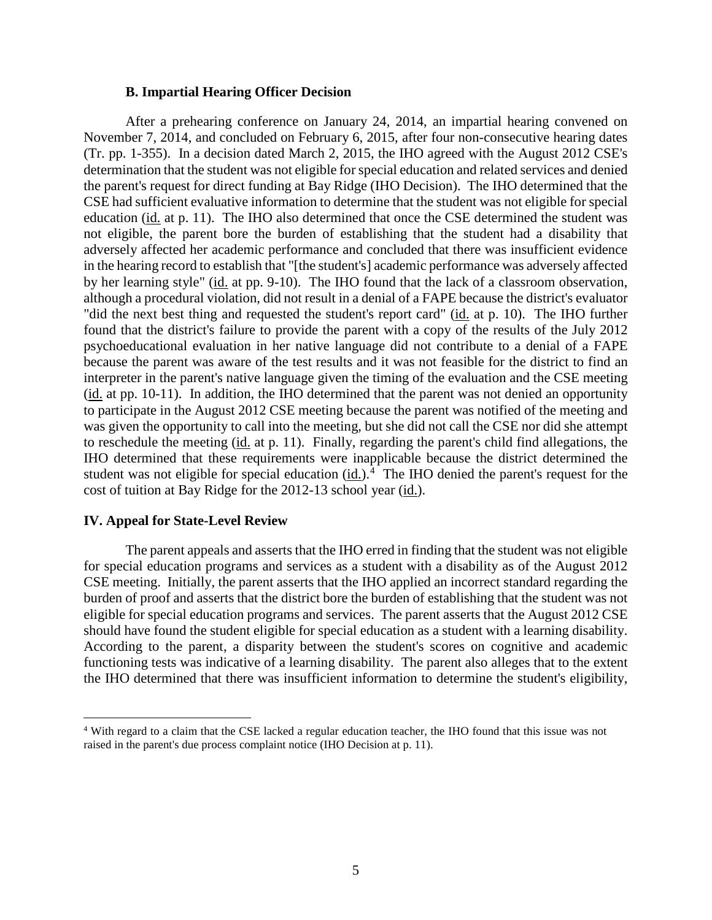#### **B. Impartial Hearing Officer Decision**

After a prehearing conference on January 24, 2014, an impartial hearing convened on November 7, 2014, and concluded on February 6, 2015, after four non-consecutive hearing dates (Tr. pp. 1-355). In a decision dated March 2, 2015, the IHO agreed with the August 2012 CSE's determination that the student was not eligible for special education and related services and denied the parent's request for direct funding at Bay Ridge (IHO Decision). The IHO determined that the CSE had sufficient evaluative information to determine that the student was not eligible for special education (id. at p. 11). The IHO also determined that once the CSE determined the student was not eligible, the parent bore the burden of establishing that the student had a disability that adversely affected her academic performance and concluded that there was insufficient evidence in the hearing record to establish that "[the student's] academic performance was adversely affected by her learning style" (id. at pp. 9-10). The IHO found that the lack of a classroom observation, although a procedural violation, did not result in a denial of a FAPE because the district's evaluator "did the next best thing and requested the student's report card" (id. at p. 10). The IHO further found that the district's failure to provide the parent with a copy of the results of the July 2012 psychoeducational evaluation in her native language did not contribute to a denial of a FAPE because the parent was aware of the test results and it was not feasible for the district to find an interpreter in the parent's native language given the timing of the evaluation and the CSE meeting (id. at pp. 10-11). In addition, the IHO determined that the parent was not denied an opportunity to participate in the August 2012 CSE meeting because the parent was notified of the meeting and was given the opportunity to call into the meeting, but she did not call the CSE nor did she attempt to reschedule the meeting (id. at p. 11). Finally, regarding the parent's child find allegations, the IHO determined that these requirements were inapplicable because the district determined the student was not eligible for special education  $(id.)$ <sup>4</sup> The IHO denied the parent's request for the cost of tuition at Bay Ridge for the 2012-13 school year (id.).

# **IV. Appeal for State-Level Review**

The parent appeals and asserts that the IHO erred in finding that the student was not eligible for special education programs and services as a student with a disability as of the August 2012 CSE meeting. Initially, the parent asserts that the IHO applied an incorrect standard regarding the burden of proof and asserts that the district bore the burden of establishing that the student was not eligible for special education programs and services. The parent asserts that the August 2012 CSE should have found the student eligible for special education as a student with a learning disability. According to the parent, a disparity between the student's scores on cognitive and academic functioning tests was indicative of a learning disability. The parent also alleges that to the extent the IHO determined that there was insufficient information to determine the student's eligibility,

 <sup>4</sup> With regard to a claim that the CSE lacked a regular education teacher, the IHO found that this issue was not raised in the parent's due process complaint notice (IHO Decision at p. 11).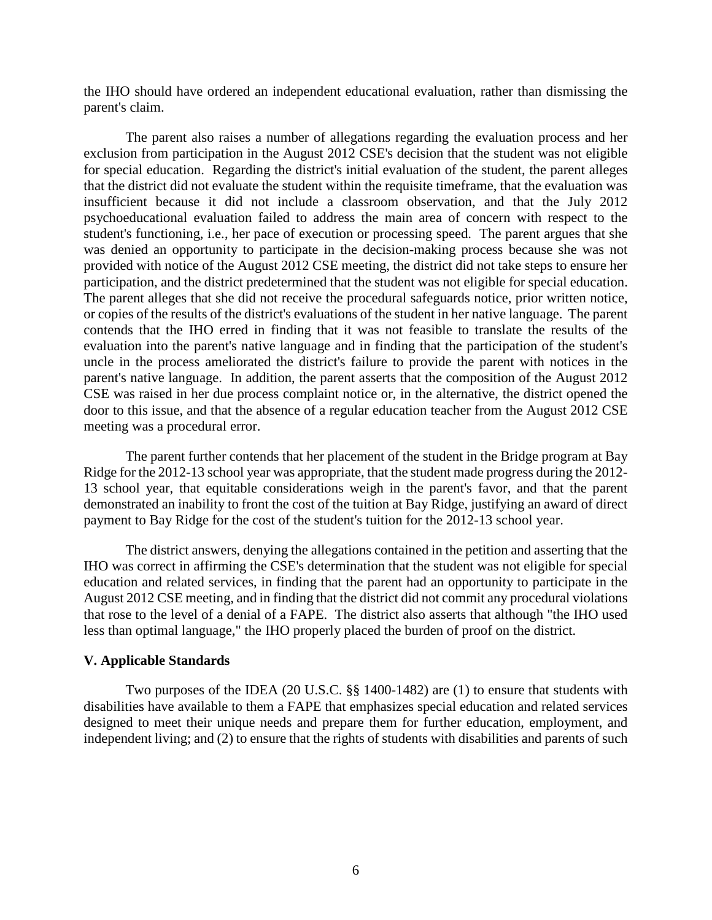the IHO should have ordered an independent educational evaluation, rather than dismissing the parent's claim.

The parent also raises a number of allegations regarding the evaluation process and her exclusion from participation in the August 2012 CSE's decision that the student was not eligible for special education. Regarding the district's initial evaluation of the student, the parent alleges that the district did not evaluate the student within the requisite timeframe, that the evaluation was insufficient because it did not include a classroom observation, and that the July 2012 psychoeducational evaluation failed to address the main area of concern with respect to the student's functioning, i.e., her pace of execution or processing speed. The parent argues that she was denied an opportunity to participate in the decision-making process because she was not provided with notice of the August 2012 CSE meeting, the district did not take steps to ensure her participation, and the district predetermined that the student was not eligible for special education. The parent alleges that she did not receive the procedural safeguards notice, prior written notice, or copies of the results of the district's evaluations of the student in her native language. The parent contends that the IHO erred in finding that it was not feasible to translate the results of the evaluation into the parent's native language and in finding that the participation of the student's uncle in the process ameliorated the district's failure to provide the parent with notices in the parent's native language. In addition, the parent asserts that the composition of the August 2012 CSE was raised in her due process complaint notice or, in the alternative, the district opened the door to this issue, and that the absence of a regular education teacher from the August 2012 CSE meeting was a procedural error.

The parent further contends that her placement of the student in the Bridge program at Bay Ridge for the 2012-13 school year was appropriate, that the student made progress during the 2012- 13 school year, that equitable considerations weigh in the parent's favor, and that the parent demonstrated an inability to front the cost of the tuition at Bay Ridge, justifying an award of direct payment to Bay Ridge for the cost of the student's tuition for the 2012-13 school year.

The district answers, denying the allegations contained in the petition and asserting that the IHO was correct in affirming the CSE's determination that the student was not eligible for special education and related services, in finding that the parent had an opportunity to participate in the August 2012 CSE meeting, and in finding that the district did not commit any procedural violations that rose to the level of a denial of a FAPE. The district also asserts that although "the IHO used less than optimal language," the IHO properly placed the burden of proof on the district.

## **V. Applicable Standards**

Two purposes of the IDEA (20 U.S.C. §§ 1400-1482) are (1) to ensure that students with disabilities have available to them a FAPE that emphasizes special education and related services designed to meet their unique needs and prepare them for further education, employment, and independent living; and (2) to ensure that the rights of students with disabilities and parents of such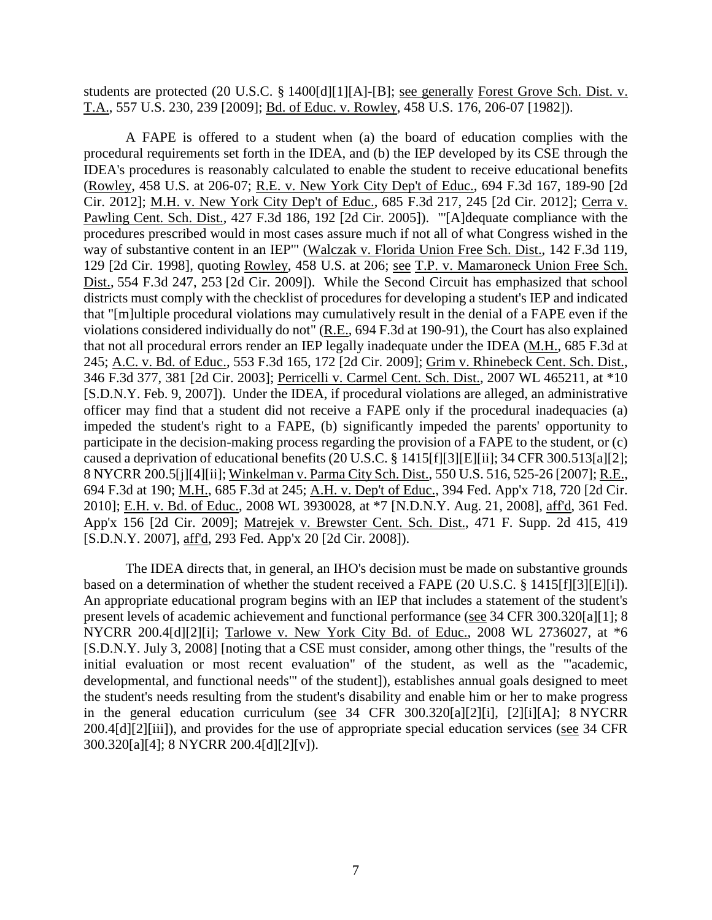students are protected (20 U.S.C. § 1400[d][1][A]-[B]; see generally Forest Grove Sch. Dist. v. T.A., 557 U.S. 230, 239 [2009]; Bd. of Educ. v. Rowley, 458 U.S. 176, 206-07 [1982]).

A FAPE is offered to a student when (a) the board of education complies with the procedural requirements set forth in the IDEA, and (b) the IEP developed by its CSE through the IDEA's procedures is reasonably calculated to enable the student to receive educational benefits (Rowley, 458 U.S. at 206-07; R.E. v. New York City Dep't of Educ., 694 F.3d 167, 189-90 [2d Cir. 2012]; M.H. v. New York City Dep't of Educ., 685 F.3d 217, 245 [2d Cir. 2012]; Cerra v. Pawling Cent. Sch. Dist., 427 F.3d 186, 192 [2d Cir. 2005]). "'[A]dequate compliance with the procedures prescribed would in most cases assure much if not all of what Congress wished in the way of substantive content in an IEP'" (Walczak v. Florida Union Free Sch. Dist., 142 F.3d 119, 129 [2d Cir. 1998], quoting Rowley, 458 U.S. at 206; see T.P. v. Mamaroneck Union Free Sch. Dist., 554 F.3d 247, 253 [2d Cir. 2009]). While the Second Circuit has emphasized that school districts must comply with the checklist of procedures for developing a student's IEP and indicated that "[m]ultiple procedural violations may cumulatively result in the denial of a FAPE even if the violations considered individually do not" (R.E., 694 F.3d at 190-91), the Court has also explained that not all procedural errors render an IEP legally inadequate under the IDEA (M.H., 685 F.3d at 245; A.C. v. Bd. of Educ., 553 F.3d 165, 172 [2d Cir. 2009]; Grim v. Rhinebeck Cent. Sch. Dist., 346 F.3d 377, 381 [2d Cir. 2003]; Perricelli v. Carmel Cent. Sch. Dist., 2007 WL 465211, at \*10 [S.D.N.Y. Feb. 9, 2007]). Under the IDEA, if procedural violations are alleged, an administrative officer may find that a student did not receive a FAPE only if the procedural inadequacies (a) impeded the student's right to a FAPE, (b) significantly impeded the parents' opportunity to participate in the decision-making process regarding the provision of a FAPE to the student, or (c) caused a deprivation of educational benefits (20 U.S.C. § 1415[f][3][E][ii]; 34 CFR 300.513[a][2]; 8 NYCRR 200.5[j][4][ii]; Winkelman v. Parma City Sch. Dist., 550 U.S. 516, 525-26 [2007]; R.E., 694 F.3d at 190; M.H., 685 F.3d at 245; A.H. v. Dep't of Educ., 394 Fed. App'x 718, 720 [2d Cir. 2010]; E.H. v. Bd. of Educ., 2008 WL 3930028, at \*7 [N.D.N.Y. Aug. 21, 2008], aff'd, 361 Fed. App'x 156 [2d Cir. 2009]; Matrejek v. Brewster Cent. Sch. Dist., 471 F. Supp. 2d 415, 419 [S.D.N.Y. 2007], aff'd, 293 Fed. App'x 20 [2d Cir. 2008]).

The IDEA directs that, in general, an IHO's decision must be made on substantive grounds based on a determination of whether the student received a FAPE (20 U.S.C. § 1415[f][3][E][i]). An appropriate educational program begins with an IEP that includes a statement of the student's present levels of academic achievement and functional performance (see 34 CFR 300.320[a][1]; 8 NYCRR 200.4[d][2][i]; Tarlowe v. New York City Bd. of Educ., 2008 WL 2736027, at \*6 [S.D.N.Y. July 3, 2008] [noting that a CSE must consider, among other things, the "results of the initial evaluation or most recent evaluation" of the student, as well as the "'academic, developmental, and functional needs'" of the student]), establishes annual goals designed to meet the student's needs resulting from the student's disability and enable him or her to make progress in the general education curriculum (see 34 CFR 300.320[a][2][i], [2][i][A]; 8 NYCRR 200.4[d][2][iii]), and provides for the use of appropriate special education services (see 34 CFR 300.320[a][4]; 8 NYCRR 200.4[d][2][v]).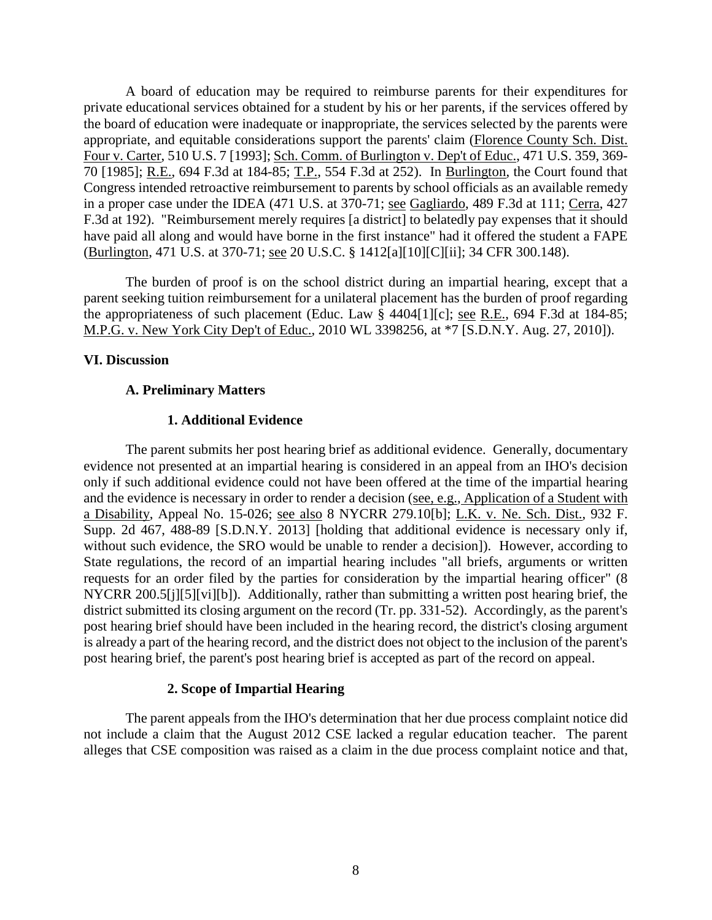A board of education may be required to reimburse parents for their expenditures for private educational services obtained for a student by his or her parents, if the services offered by the board of education were inadequate or inappropriate, the services selected by the parents were appropriate, and equitable considerations support the parents' claim (Florence County Sch. Dist. Four v. Carter, 510 U.S. 7 [1993]; Sch. Comm. of Burlington v. Dep't of Educ., 471 U.S. 359, 369- 70 [1985]; R.E., 694 F.3d at 184-85; T.P., 554 F.3d at 252). In Burlington, the Court found that Congress intended retroactive reimbursement to parents by school officials as an available remedy in a proper case under the IDEA (471 U.S. at 370-71; see Gagliardo, 489 F.3d at 111; Cerra, 427 F.3d at 192). "Reimbursement merely requires [a district] to belatedly pay expenses that it should have paid all along and would have borne in the first instance" had it offered the student a FAPE (Burlington, 471 U.S. at 370-71; see 20 U.S.C. § 1412[a][10][C][ii]; 34 CFR 300.148).

The burden of proof is on the school district during an impartial hearing, except that a parent seeking tuition reimbursement for a unilateral placement has the burden of proof regarding the appropriateness of such placement (Educ. Law § 4404[1][c]; see R.E., 694 F.3d at 184-85; M.P.G. v. New York City Dep't of Educ., 2010 WL 3398256, at \*7 [S.D.N.Y. Aug. 27, 2010]).

## **VI. Discussion**

## **A. Preliminary Matters**

## **1. Additional Evidence**

The parent submits her post hearing brief as additional evidence. Generally, documentary evidence not presented at an impartial hearing is considered in an appeal from an IHO's decision only if such additional evidence could not have been offered at the time of the impartial hearing and the evidence is necessary in order to render a decision (see, e.g., Application of a Student with a Disability, Appeal No. 15-026; see also 8 NYCRR 279.10[b]; L.K. v. Ne. Sch. Dist., 932 F. Supp. 2d 467, 488-89 [S.D.N.Y. 2013] [holding that additional evidence is necessary only if, without such evidence, the SRO would be unable to render a decision]). However, according to State regulations, the record of an impartial hearing includes "all briefs, arguments or written requests for an order filed by the parties for consideration by the impartial hearing officer" (8 NYCRR 200.5[j][5][vi][b]). Additionally, rather than submitting a written post hearing brief, the district submitted its closing argument on the record (Tr. pp. 331-52). Accordingly, as the parent's post hearing brief should have been included in the hearing record, the district's closing argument is already a part of the hearing record, and the district does not object to the inclusion of the parent's post hearing brief, the parent's post hearing brief is accepted as part of the record on appeal.

## **2. Scope of Impartial Hearing**

The parent appeals from the IHO's determination that her due process complaint notice did not include a claim that the August 2012 CSE lacked a regular education teacher. The parent alleges that CSE composition was raised as a claim in the due process complaint notice and that,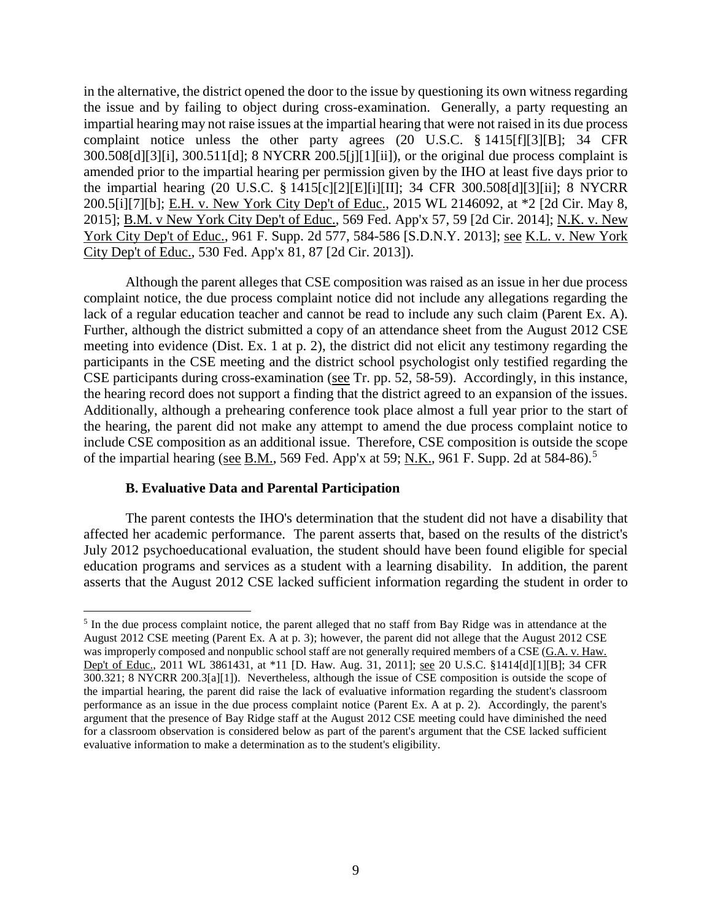in the alternative, the district opened the door to the issue by questioning its own witness regarding the issue and by failing to object during cross-examination. Generally, a party requesting an impartial hearing may not raise issues at the impartial hearing that were not raised in its due process complaint notice unless the other party agrees (20 U.S.C. § 1415[f][3][B]; 34 CFR 300.508[d][3][i], 300.511[d]; 8 NYCRR 200.5[j][1][ii]), or the original due process complaint is amended prior to the impartial hearing per permission given by the IHO at least five days prior to the impartial hearing (20 U.S.C. § 1415[c][2][E][i][II]; 34 CFR 300.508[d][3][ii]; 8 NYCRR 200.5[i][7][b]; E.H. v. New York City Dep't of Educ., 2015 WL 2146092, at \*2 [2d Cir. May 8, 2015]; B.M. v New York City Dep't of Educ., 569 Fed. App'x 57, 59 [2d Cir. 2014]; N.K. v. New York City Dep't of Educ., 961 F. Supp. 2d 577, 584-586 [S.D.N.Y. 2013]; <u>see K.L. v. New York</u> City Dep't of Educ., 530 Fed. App'x 81, 87 [2d Cir. 2013]).

Although the parent alleges that CSE composition was raised as an issue in her due process complaint notice, the due process complaint notice did not include any allegations regarding the lack of a regular education teacher and cannot be read to include any such claim (Parent Ex. A). Further, although the district submitted a copy of an attendance sheet from the August 2012 CSE meeting into evidence (Dist. Ex. 1 at p. 2), the district did not elicit any testimony regarding the participants in the CSE meeting and the district school psychologist only testified regarding the CSE participants during cross-examination (see Tr. pp. 52, 58-59). Accordingly, in this instance, the hearing record does not support a finding that the district agreed to an expansion of the issues. Additionally, although a prehearing conference took place almost a full year prior to the start of the hearing, the parent did not make any attempt to amend the due process complaint notice to include CSE composition as an additional issue. Therefore, CSE composition is outside the scope of the impartial hearing (see B.M., 569 Fed. App'x at 59; N.K., 961 F. Supp. 2d at 584-86).<sup>5</sup>

## **B. Evaluative Data and Parental Participation**

The parent contests the IHO's determination that the student did not have a disability that affected her academic performance.The parent asserts that, based on the results of the district's July 2012 psychoeducational evaluation, the student should have been found eligible for special education programs and services as a student with a learning disability. In addition, the parent asserts that the August 2012 CSE lacked sufficient information regarding the student in order to

<sup>&</sup>lt;sup>5</sup> In the due process complaint notice, the parent alleged that no staff from Bay Ridge was in attendance at the August 2012 CSE meeting (Parent Ex. A at p. 3); however, the parent did not allege that the August 2012 CSE was improperly composed and nonpublic school staff are not generally required members of a CSE (G.A. v. Haw. Dep't of Educ., 2011 WL 3861431, at \*11 [D. Haw. Aug. 31, 2011]; see 20 U.S.C. §1414[d][1][B]; 34 CFR 300.321; 8 NYCRR 200.3[a][1]). Nevertheless, although the issue of CSE composition is outside the scope of the impartial hearing, the parent did raise the lack of evaluative information regarding the student's classroom performance as an issue in the due process complaint notice (Parent Ex. A at p. 2). Accordingly, the parent's argument that the presence of Bay Ridge staff at the August 2012 CSE meeting could have diminished the need for a classroom observation is considered below as part of the parent's argument that the CSE lacked sufficient evaluative information to make a determination as to the student's eligibility.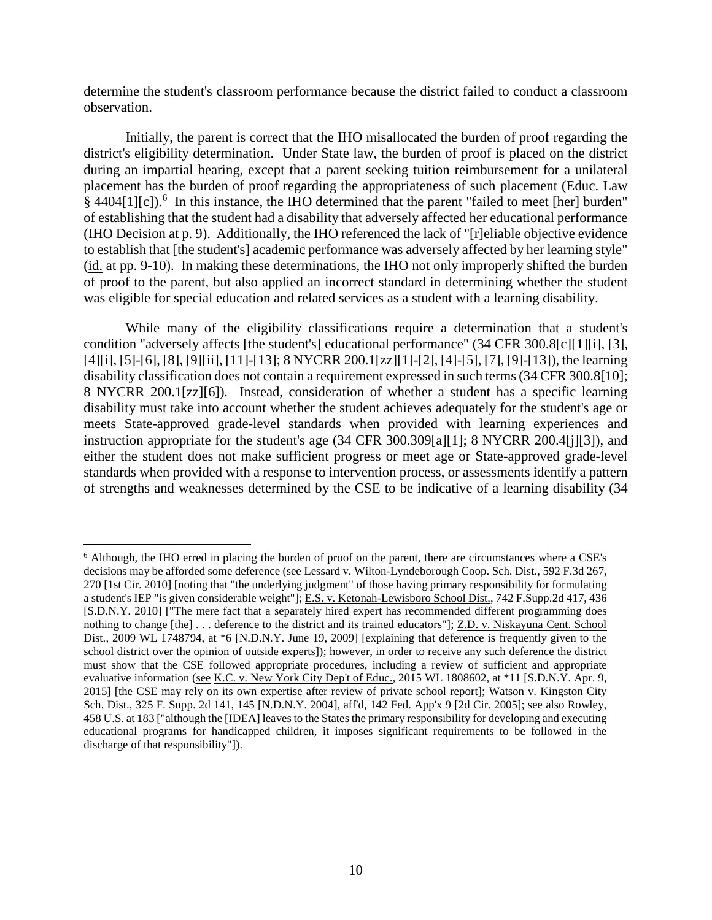determine the student's classroom performance because the district failed to conduct a classroom observation.

Initially, the parent is correct that the IHO misallocated the burden of proof regarding the district's eligibility determination. Under State law, the burden of proof is placed on the district during an impartial hearing, except that a parent seeking tuition reimbursement for a unilateral placement has the burden of proof regarding the appropriateness of such placement (Educ. Law § 4404[1][c]).<sup>6</sup> In this instance, the IHO determined that the parent "failed to meet [her] burden" of establishing that the student had a disability that adversely affected her educational performance (IHO Decision at p. 9). Additionally, the IHO referenced the lack of "[r]eliable objective evidence to establish that [the student's] academic performance was adversely affected by her learning style" (id. at pp. 9-10). In making these determinations, the IHO not only improperly shifted the burden of proof to the parent, but also applied an incorrect standard in determining whether the student was eligible for special education and related services as a student with a learning disability.

While many of the eligibility classifications require a determination that a student's condition "adversely affects [the student's] educational performance" (34 CFR 300.8[c][1][i], [3], [4][i], [5]-[6], [8], [9][ii], [11]-[13]; 8 NYCRR 200.1[zz][1]-[2], [4]-[5], [7], [9]-[13]), the learning disability classification does not contain a requirement expressed in such terms(34 CFR 300.8[10]; 8 NYCRR 200.1[zz][6]). Instead, consideration of whether a student has a specific learning disability must take into account whether the student achieves adequately for the student's age or meets State-approved grade-level standards when provided with learning experiences and instruction appropriate for the student's age (34 CFR 300.309[a][1]; 8 NYCRR 200.4[j][3]), and either the student does not make sufficient progress or meet age or State-approved grade-level standards when provided with a response to intervention process, or assessments identify a pattern of strengths and weaknesses determined by the CSE to be indicative of a learning disability (34

 <sup>6</sup> Although, the IHO erred in placing the burden of proof on the parent, there are circumstances where a CSE's decisions may be afforded some deference (see Lessard v. Wilton-Lyndeborough Coop. Sch. Dist., 592 F.3d 267, 270 [1st Cir. 2010] [noting that "the underlying judgment" of those having primary responsibility for formulating a student's IEP "is given considerable weight"]; E.S. v. Ketonah-Lewisboro School Dist., 742 F.Supp.2d 417, 436 [S.D.N.Y. 2010] ["The mere fact that a separately hired expert has recommended different programming does nothing to change [the] . . . deference to the district and its trained educators"]; Z.D. v. Niskayuna Cent. School Dist., 2009 WL 1748794, at \*6 [N.D.N.Y. June 19, 2009] [explaining that deference is frequently given to the school district over the opinion of outside experts]); however, in order to receive any such deference the district must show that the CSE followed appropriate procedures, including a review of sufficient and appropriate evaluative information (see K.C. v. New York City Dep't of Educ., 2015 WL 1808602, at \*11 [S.D.N.Y. Apr. 9, 2015] [the CSE may rely on its own expertise after review of private school report]; Watson v. Kingston City Sch. Dist., 325 F. Supp. 2d 141, 145 [N.D.N.Y. 2004], aff'd, 142 Fed. App'x 9 [2d Cir. 2005]; see also Rowley, 458 U.S. at 183 ["although the [IDEA] leaves to the States the primary responsibility for developing and executing educational programs for handicapped children, it imposes significant requirements to be followed in the discharge of that responsibility"]).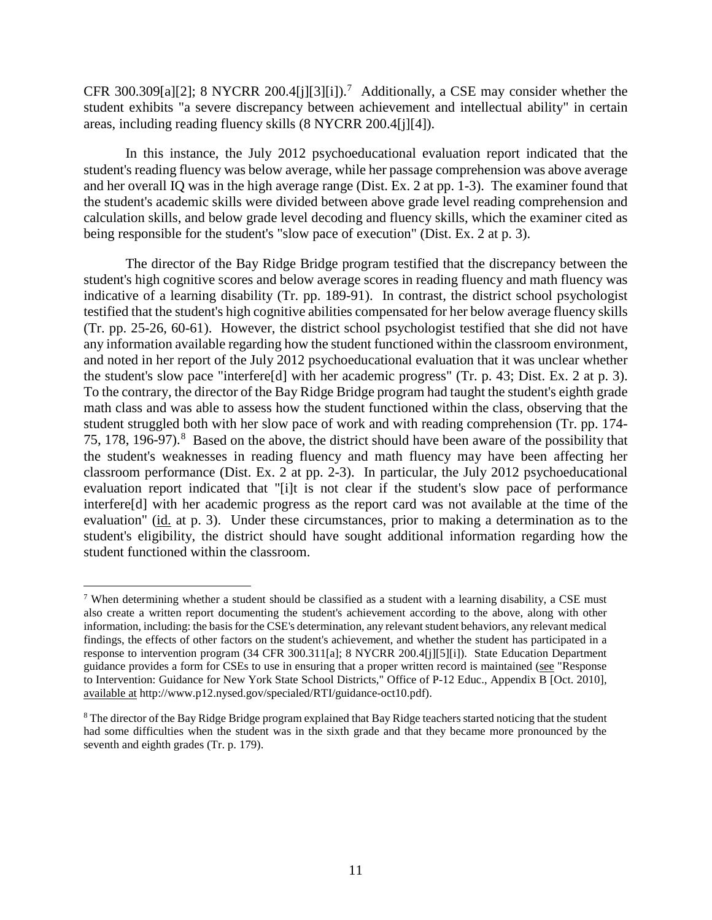CFR 300.309[a][2]; 8 NYCRR 200.4[j][3][i]).<sup>7</sup> Additionally, a CSE may consider whether the student exhibits "a severe discrepancy between achievement and intellectual ability" in certain areas, including reading fluency skills (8 NYCRR 200.4[j][4]).

In this instance, the July 2012 psychoeducational evaluation report indicated that the student's reading fluency was below average, while her passage comprehension was above average and her overall IQ was in the high average range (Dist. Ex. 2 at pp. 1-3). The examiner found that the student's academic skills were divided between above grade level reading comprehension and calculation skills, and below grade level decoding and fluency skills, which the examiner cited as being responsible for the student's "slow pace of execution" (Dist. Ex. 2 at p. 3).

The director of the Bay Ridge Bridge program testified that the discrepancy between the student's high cognitive scores and below average scores in reading fluency and math fluency was indicative of a learning disability (Tr. pp. 189-91). In contrast, the district school psychologist testified that the student's high cognitive abilities compensated for her below average fluency skills (Tr. pp. 25-26, 60-61). However, the district school psychologist testified that she did not have any information available regarding how the student functioned within the classroom environment, and noted in her report of the July 2012 psychoeducational evaluation that it was unclear whether the student's slow pace "interfere[d] with her academic progress" (Tr. p. 43; Dist. Ex. 2 at p. 3). To the contrary, the director of the Bay Ridge Bridge program had taught the student's eighth grade math class and was able to assess how the student functioned within the class, observing that the student struggled both with her slow pace of work and with reading comprehension (Tr. pp. 174- 75, 178, 196-97). <sup>8</sup> Based on the above, the district should have been aware of the possibility that the student's weaknesses in reading fluency and math fluency may have been affecting her classroom performance (Dist. Ex. 2 at pp. 2-3). In particular, the July 2012 psychoeducational evaluation report indicated that "[i]t is not clear if the student's slow pace of performance interfere[d] with her academic progress as the report card was not available at the time of the evaluation" (id. at p. 3). Under these circumstances, prior to making a determination as to the student's eligibility, the district should have sought additional information regarding how the student functioned within the classroom.

 <sup>7</sup> When determining whether a student should be classified as a student with a learning disability, a CSE must also create a written report documenting the student's achievement according to the above, along with other information, including: the basis for the CSE's determination, any relevant student behaviors, any relevant medical findings, the effects of other factors on the student's achievement, and whether the student has participated in a response to intervention program (34 CFR 300.311[a]; 8 NYCRR 200.4[j][5][i]). State Education Department guidance provides a form for CSEs to use in ensuring that a proper written record is maintained (see "Response to Intervention: Guidance for New York State School Districts," Office of P-12 Educ., Appendix B [Oct. 2010], available at http://www.p12.nysed.gov/specialed/RTI/guidance-oct10.pdf).

<sup>&</sup>lt;sup>8</sup> The director of the Bay Ridge Bridge program explained that Bay Ridge teachers started noticing that the student had some difficulties when the student was in the sixth grade and that they became more pronounced by the seventh and eighth grades (Tr. p. 179).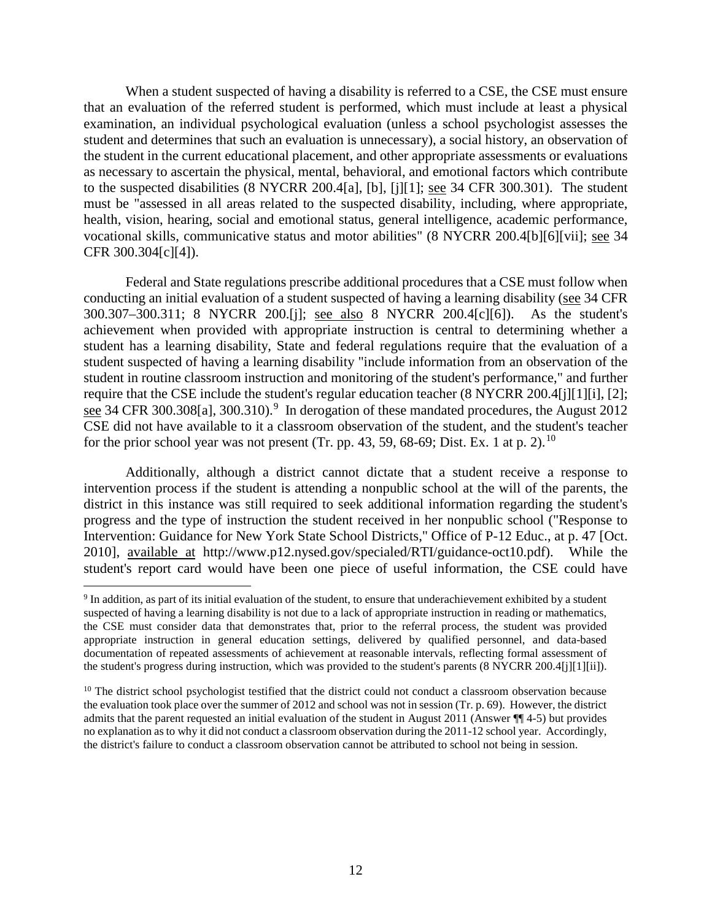When a student suspected of having a disability is referred to a CSE, the CSE must ensure that an evaluation of the referred student is performed, which must include at least a physical examination, an individual psychological evaluation (unless a school psychologist assesses the student and determines that such an evaluation is unnecessary), a social history, an observation of the student in the current educational placement, and other appropriate assessments or evaluations as necessary to ascertain the physical, mental, behavioral, and emotional factors which contribute to the suspected disabilities (8 NYCRR 200.4[a], [b], [j][1]; see 34 CFR 300.301). The student must be "assessed in all areas related to the suspected disability, including, where appropriate, health, vision, hearing, social and emotional status, general intelligence, academic performance, vocational skills, communicative status and motor abilities" (8 NYCRR 200.4[b][6][vii]; see 34 CFR 300.304[c][4]).

Federal and State regulations prescribe additional procedures that a CSE must follow when conducting an initial evaluation of a student suspected of having a learning disability (see 34 CFR 300.307–300.311; 8 NYCRR 200.[j]; see also 8 NYCRR 200.4[c][6]). As the student's achievement when provided with appropriate instruction is central to determining whether a student has a learning disability, State and federal regulations require that the evaluation of a student suspected of having a learning disability "include information from an observation of the student in routine classroom instruction and monitoring of the student's performance," and further require that the CSE include the student's regular education teacher (8 NYCRR 200.4[j][1][i], [2]; see 34 CFR 300.308[a], 300.310).<sup>9</sup> In derogation of these mandated procedures, the August 2012 CSE did not have available to it a classroom observation of the student, and the student's teacher for the prior school year was not present (Tr. pp. 43, 59, 68-69; Dist. Ex. 1 at p. 2).<sup>10</sup>

Additionally, although a district cannot dictate that a student receive a response to intervention process if the student is attending a nonpublic school at the will of the parents, the district in this instance was still required to seek additional information regarding the student's progress and the type of instruction the student received in her nonpublic school ("Response to Intervention: Guidance for New York State School Districts," Office of P-12 Educ., at p. 47 [Oct. 2010], available at http://www.p12.nysed.gov/specialed/RTI/guidance-oct10.pdf). While the student's report card would have been one piece of useful information, the CSE could have

 <sup>9</sup> In addition, as part of its initial evaluation of the student, to ensure that underachievement exhibited by a student suspected of having a learning disability is not due to a lack of appropriate instruction in reading or mathematics, the CSE must consider data that demonstrates that, prior to the referral process, the student was provided appropriate instruction in general education settings, delivered by qualified personnel, and data-based documentation of repeated assessments of achievement at reasonable intervals, reflecting formal assessment of the student's progress during instruction, which was provided to the student's parents (8 NYCRR 200.4[j][1][ii]).

 $10$  The district school psychologist testified that the district could not conduct a classroom observation because the evaluation took place over the summer of 2012 and school was not in session (Tr. p. 69). However, the district admits that the parent requested an initial evaluation of the student in August 2011 (Answer ¶¶ 4-5) but provides no explanation as to why it did not conduct a classroom observation during the 2011-12 school year. Accordingly, the district's failure to conduct a classroom observation cannot be attributed to school not being in session.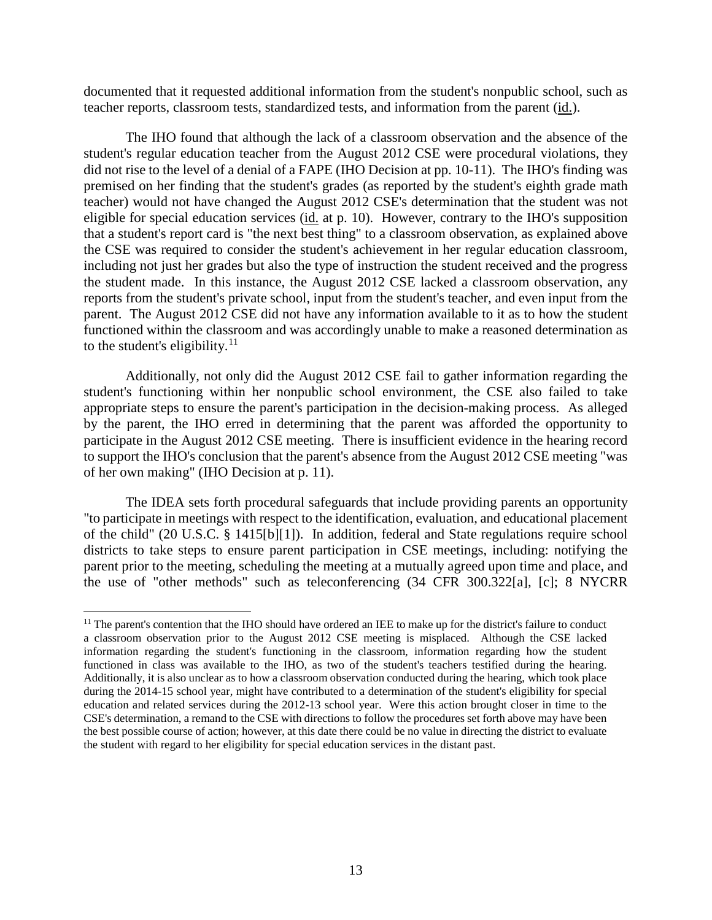documented that it requested additional information from the student's nonpublic school, such as teacher reports, classroom tests, standardized tests, and information from the parent (id.).

The IHO found that although the lack of a classroom observation and the absence of the student's regular education teacher from the August 2012 CSE were procedural violations, they did not rise to the level of a denial of a FAPE (IHO Decision at pp. 10-11). The IHO's finding was premised on her finding that the student's grades (as reported by the student's eighth grade math teacher) would not have changed the August 2012 CSE's determination that the student was not eligible for special education services (id. at p. 10). However, contrary to the IHO's supposition that a student's report card is "the next best thing" to a classroom observation, as explained above the CSE was required to consider the student's achievement in her regular education classroom, including not just her grades but also the type of instruction the student received and the progress the student made. In this instance, the August 2012 CSE lacked a classroom observation, any reports from the student's private school, input from the student's teacher, and even input from the parent. The August 2012 CSE did not have any information available to it as to how the student functioned within the classroom and was accordingly unable to make a reasoned determination as to the student's eligibility. $11$ 

Additionally, not only did the August 2012 CSE fail to gather information regarding the student's functioning within her nonpublic school environment, the CSE also failed to take appropriate steps to ensure the parent's participation in the decision-making process. As alleged by the parent, the IHO erred in determining that the parent was afforded the opportunity to participate in the August 2012 CSE meeting. There is insufficient evidence in the hearing record to support the IHO's conclusion that the parent's absence from the August 2012 CSE meeting "was of her own making" (IHO Decision at p. 11).

The IDEA sets forth procedural safeguards that include providing parents an opportunity "to participate in meetings with respect to the identification, evaluation, and educational placement of the child" (20 U.S.C. § 1415[b][1]). In addition, federal and State regulations require school districts to take steps to ensure parent participation in CSE meetings, including: notifying the parent prior to the meeting, scheduling the meeting at a mutually agreed upon time and place, and the use of "other methods" such as teleconferencing (34 CFR 300.322[a], [c]; 8 NYCRR

<sup>&</sup>lt;sup>11</sup> The parent's contention that the IHO should have ordered an IEE to make up for the district's failure to conduct a classroom observation prior to the August 2012 CSE meeting is misplaced. Although the CSE lacked information regarding the student's functioning in the classroom, information regarding how the student functioned in class was available to the IHO, as two of the student's teachers testified during the hearing. Additionally, it is also unclear as to how a classroom observation conducted during the hearing, which took place during the 2014-15 school year, might have contributed to a determination of the student's eligibility for special education and related services during the 2012-13 school year. Were this action brought closer in time to the CSE's determination, a remand to the CSE with directions to follow the procedures set forth above may have been the best possible course of action; however, at this date there could be no value in directing the district to evaluate the student with regard to her eligibility for special education services in the distant past.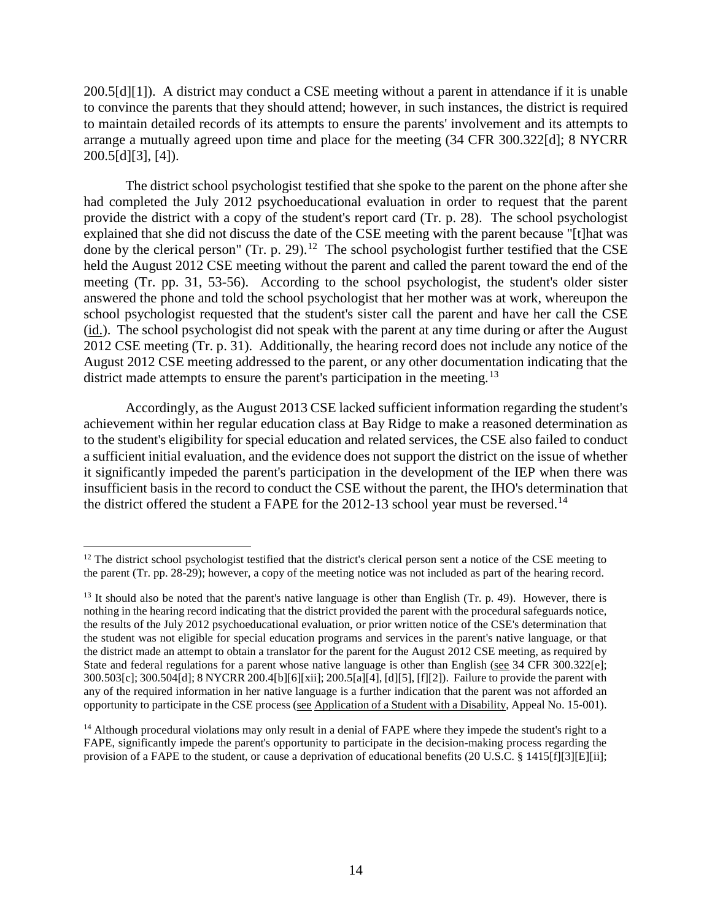200.5[d][1]). A district may conduct a CSE meeting without a parent in attendance if it is unable to convince the parents that they should attend; however, in such instances, the district is required to maintain detailed records of its attempts to ensure the parents' involvement and its attempts to arrange a mutually agreed upon time and place for the meeting (34 CFR 300.322[d]; 8 NYCRR 200.5[d][3], [4]).

The district school psychologist testified that she spoke to the parent on the phone after she had completed the July 2012 psychoeducational evaluation in order to request that the parent provide the district with a copy of the student's report card (Tr. p. 28). The school psychologist explained that she did not discuss the date of the CSE meeting with the parent because "[t]hat was done by the clerical person" (Tr. p. 29).<sup>12</sup> The school psychologist further testified that the CSE held the August 2012 CSE meeting without the parent and called the parent toward the end of the meeting (Tr. pp. 31, 53-56). According to the school psychologist, the student's older sister answered the phone and told the school psychologist that her mother was at work, whereupon the school psychologist requested that the student's sister call the parent and have her call the CSE (id.). The school psychologist did not speak with the parent at any time during or after the August 2012 CSE meeting (Tr. p. 31). Additionally, the hearing record does not include any notice of the August 2012 CSE meeting addressed to the parent, or any other documentation indicating that the district made attempts to ensure the parent's participation in the meeting.<sup>13</sup>

Accordingly, as the August 2013 CSE lacked sufficient information regarding the student's achievement within her regular education class at Bay Ridge to make a reasoned determination as to the student's eligibility for special education and related services, the CSE also failed to conduct a sufficient initial evaluation, and the evidence does not support the district on the issue of whether it significantly impeded the parent's participation in the development of the IEP when there was insufficient basis in the record to conduct the CSE without the parent, the IHO's determination that the district offered the student a FAPE for the 2012-13 school year must be reversed.<sup>14</sup>

 $12$  The district school psychologist testified that the district's clerical person sent a notice of the CSE meeting to the parent (Tr. pp. 28-29); however, a copy of the meeting notice was not included as part of the hearing record.

<sup>&</sup>lt;sup>13</sup> It should also be noted that the parent's native language is other than English (Tr. p. 49). However, there is nothing in the hearing record indicating that the district provided the parent with the procedural safeguards notice, the results of the July 2012 psychoeducational evaluation, or prior written notice of the CSE's determination that the student was not eligible for special education programs and services in the parent's native language, or that the district made an attempt to obtain a translator for the parent for the August 2012 CSE meeting, as required by State and federal regulations for a parent whose native language is other than English (see 34 CFR 300.322[e]; 300.503[c]; 300.504[d]; 8 NYCRR 200.4[b][6][xii]; 200.5[a][4], [d][5], [f][2]). Failure to provide the parent with any of the required information in her native language is a further indication that the parent was not afforded an opportunity to participate in the CSE process (see Application of a Student with a Disability, Appeal No. 15-001).

 $14$  Although procedural violations may only result in a denial of FAPE where they impede the student's right to a FAPE, significantly impede the parent's opportunity to participate in the decision-making process regarding the provision of a FAPE to the student, or cause a deprivation of educational benefits (20 U.S.C. § 1415[f][3][E][ii];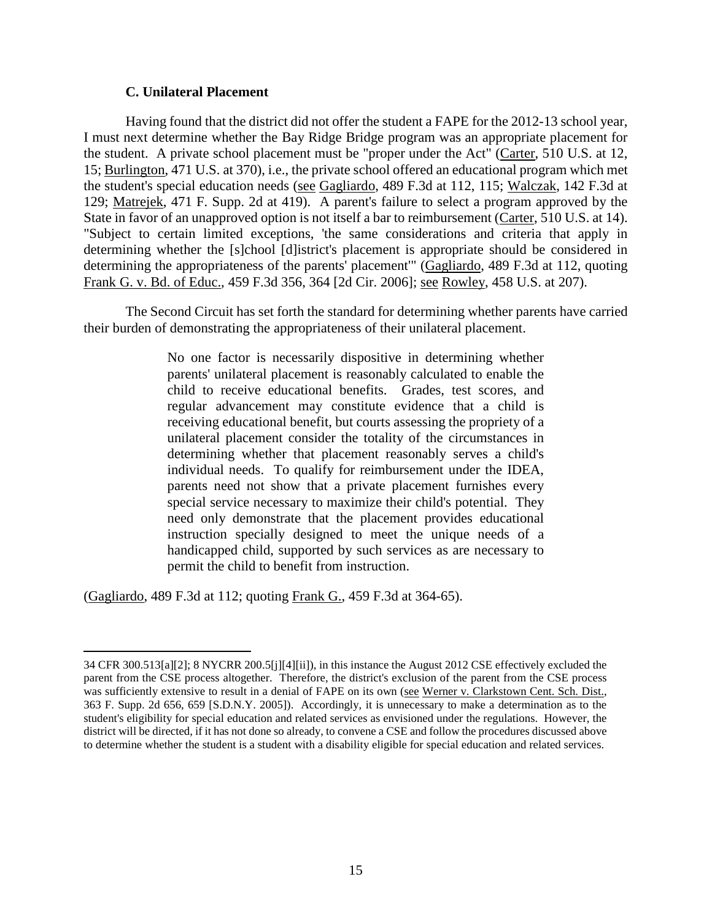# **C. Unilateral Placement**

Having found that the district did not offer the student a FAPE for the 2012-13 school year, I must next determine whether the Bay Ridge Bridge program was an appropriate placement for the student. A private school placement must be "proper under the Act" (Carter, 510 U.S. at 12, 15; Burlington, 471 U.S. at 370), i.e., the private school offered an educational program which met the student's special education needs (see Gagliardo, 489 F.3d at 112, 115; Walczak, 142 F.3d at 129; Matrejek, 471 F. Supp. 2d at 419). A parent's failure to select a program approved by the State in favor of an unapproved option is not itself a bar to reimbursement (Carter, 510 U.S. at 14). "Subject to certain limited exceptions, 'the same considerations and criteria that apply in determining whether the [s]chool [d]istrict's placement is appropriate should be considered in determining the appropriateness of the parents' placement'" (Gagliardo, 489 F.3d at 112, quoting Frank G. v. Bd. of Educ., 459 F.3d 356, 364 [2d Cir. 2006]; see Rowley, 458 U.S. at 207).

The Second Circuit has set forth the standard for determining whether parents have carried their burden of demonstrating the appropriateness of their unilateral placement.

> No one factor is necessarily dispositive in determining whether parents' unilateral placement is reasonably calculated to enable the child to receive educational benefits. Grades, test scores, and regular advancement may constitute evidence that a child is receiving educational benefit, but courts assessing the propriety of a unilateral placement consider the totality of the circumstances in determining whether that placement reasonably serves a child's individual needs. To qualify for reimbursement under the IDEA, parents need not show that a private placement furnishes every special service necessary to maximize their child's potential. They need only demonstrate that the placement provides educational instruction specially designed to meet the unique needs of a handicapped child, supported by such services as are necessary to permit the child to benefit from instruction.

(Gagliardo, 489 F.3d at 112; quoting Frank G., 459 F.3d at 364-65).

 $\overline{a}$ 34 CFR 300.513[a][2]; 8 NYCRR 200.5[j][4][ii]), in this instance the August 2012 CSE effectively excluded the parent from the CSE process altogether. Therefore, the district's exclusion of the parent from the CSE process was sufficiently extensive to result in a denial of FAPE on its own (see Werner v. Clarkstown Cent. Sch. Dist., 363 F. Supp. 2d 656, 659 [S.D.N.Y. 2005]). Accordingly, it is unnecessary to make a determination as to the student's eligibility for special education and related services as envisioned under the regulations. However, the district will be directed, if it has not done so already, to convene a CSE and follow the procedures discussed above to determine whether the student is a student with a disability eligible for special education and related services.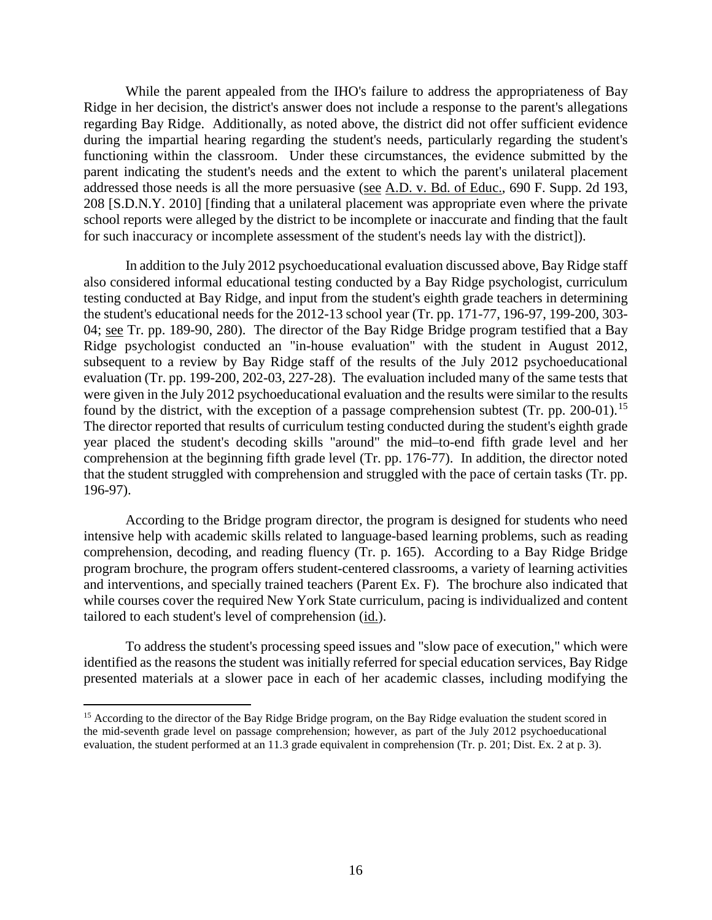While the parent appealed from the IHO's failure to address the appropriateness of Bay Ridge in her decision, the district's answer does not include a response to the parent's allegations regarding Bay Ridge. Additionally, as noted above, the district did not offer sufficient evidence during the impartial hearing regarding the student's needs, particularly regarding the student's functioning within the classroom. Under these circumstances, the evidence submitted by the parent indicating the student's needs and the extent to which the parent's unilateral placement addressed those needs is all the more persuasive (see A.D. v. Bd. of Educ., 690 F. Supp. 2d 193, 208 [S.D.N.Y. 2010] [finding that a unilateral placement was appropriate even where the private school reports were alleged by the district to be incomplete or inaccurate and finding that the fault for such inaccuracy or incomplete assessment of the student's needs lay with the district]).

In addition to the July 2012 psychoeducational evaluation discussed above, Bay Ridge staff also considered informal educational testing conducted by a Bay Ridge psychologist, curriculum testing conducted at Bay Ridge, and input from the student's eighth grade teachers in determining the student's educational needs for the 2012-13 school year (Tr. pp. 171-77, 196-97, 199-200, 303- 04; see Tr. pp. 189-90, 280). The director of the Bay Ridge Bridge program testified that a Bay Ridge psychologist conducted an "in-house evaluation" with the student in August 2012, subsequent to a review by Bay Ridge staff of the results of the July 2012 psychoeducational evaluation (Tr. pp. 199-200, 202-03, 227-28). The evaluation included many of the same tests that were given in the July 2012 psychoeducational evaluation and the results were similar to the results found by the district, with the exception of a passage comprehension subtest (Tr. pp. 200-01).<sup>15</sup> The director reported that results of curriculum testing conducted during the student's eighth grade year placed the student's decoding skills "around" the mid–to-end fifth grade level and her comprehension at the beginning fifth grade level (Tr. pp. 176-77). In addition, the director noted that the student struggled with comprehension and struggled with the pace of certain tasks (Tr. pp. 196-97).

According to the Bridge program director, the program is designed for students who need intensive help with academic skills related to language-based learning problems, such as reading comprehension, decoding, and reading fluency (Tr. p. 165). According to a Bay Ridge Bridge program brochure, the program offers student-centered classrooms, a variety of learning activities and interventions, and specially trained teachers (Parent Ex. F). The brochure also indicated that while courses cover the required New York State curriculum, pacing is individualized and content tailored to each student's level of comprehension (id.).

To address the student's processing speed issues and "slow pace of execution," which were identified as the reasons the student was initially referred for special education services, Bay Ridge presented materials at a slower pace in each of her academic classes, including modifying the

<sup>&</sup>lt;sup>15</sup> According to the director of the Bay Ridge Bridge program, on the Bay Ridge evaluation the student scored in the mid-seventh grade level on passage comprehension; however, as part of the July 2012 psychoeducational evaluation, the student performed at an 11.3 grade equivalent in comprehension (Tr. p. 201; Dist. Ex. 2 at p. 3).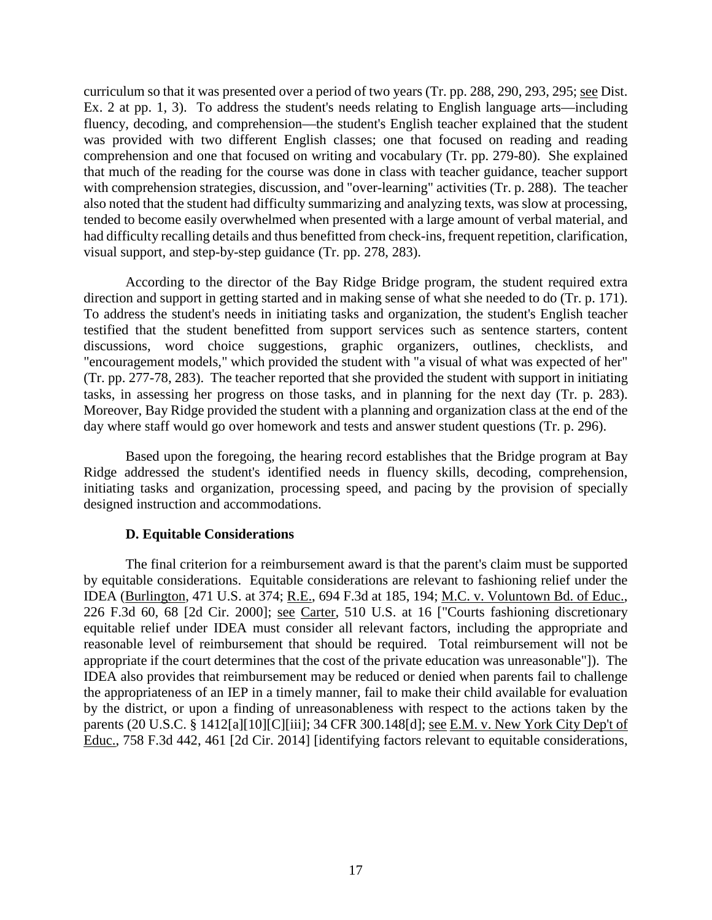curriculum so that it was presented over a period of two years (Tr. pp. 288, 290, 293, 295; see Dist. Ex. 2 at pp. 1, 3). To address the student's needs relating to English language arts—including fluency, decoding, and comprehension—the student's English teacher explained that the student was provided with two different English classes; one that focused on reading and reading comprehension and one that focused on writing and vocabulary (Tr. pp. 279-80). She explained that much of the reading for the course was done in class with teacher guidance, teacher support with comprehension strategies, discussion, and "over-learning" activities (Tr. p. 288). The teacher also noted that the student had difficulty summarizing and analyzing texts, was slow at processing, tended to become easily overwhelmed when presented with a large amount of verbal material, and had difficulty recalling details and thus benefitted from check-ins, frequent repetition, clarification, visual support, and step-by-step guidance (Tr. pp. 278, 283).

According to the director of the Bay Ridge Bridge program, the student required extra direction and support in getting started and in making sense of what she needed to do (Tr. p. 171). To address the student's needs in initiating tasks and organization, the student's English teacher testified that the student benefitted from support services such as sentence starters, content discussions, word choice suggestions, graphic organizers, outlines, checklists, and "encouragement models," which provided the student with "a visual of what was expected of her" (Tr. pp. 277-78, 283). The teacher reported that she provided the student with support in initiating tasks, in assessing her progress on those tasks, and in planning for the next day (Tr. p. 283). Moreover, Bay Ridge provided the student with a planning and organization class at the end of the day where staff would go over homework and tests and answer student questions (Tr. p. 296).

Based upon the foregoing, the hearing record establishes that the Bridge program at Bay Ridge addressed the student's identified needs in fluency skills, decoding, comprehension, initiating tasks and organization, processing speed, and pacing by the provision of specially designed instruction and accommodations.

# **D. Equitable Considerations**

The final criterion for a reimbursement award is that the parent's claim must be supported by equitable considerations. Equitable considerations are relevant to fashioning relief under the IDEA (Burlington, 471 U.S. at 374; R.E., 694 F.3d at 185, 194; M.C. v. Voluntown Bd. of Educ., 226 F.3d 60, 68 [2d Cir. 2000]; see Carter, 510 U.S. at 16 ["Courts fashioning discretionary equitable relief under IDEA must consider all relevant factors, including the appropriate and reasonable level of reimbursement that should be required. Total reimbursement will not be appropriate if the court determines that the cost of the private education was unreasonable"]). The IDEA also provides that reimbursement may be reduced or denied when parents fail to challenge the appropriateness of an IEP in a timely manner, fail to make their child available for evaluation by the district, or upon a finding of unreasonableness with respect to the actions taken by the parents (20 U.S.C. § 1412[a][10][C][iii]; 34 CFR 300.148[d]; see E.M. v. New York City Dep't of Educ., 758 F.3d 442, 461 [2d Cir. 2014] [identifying factors relevant to equitable considerations,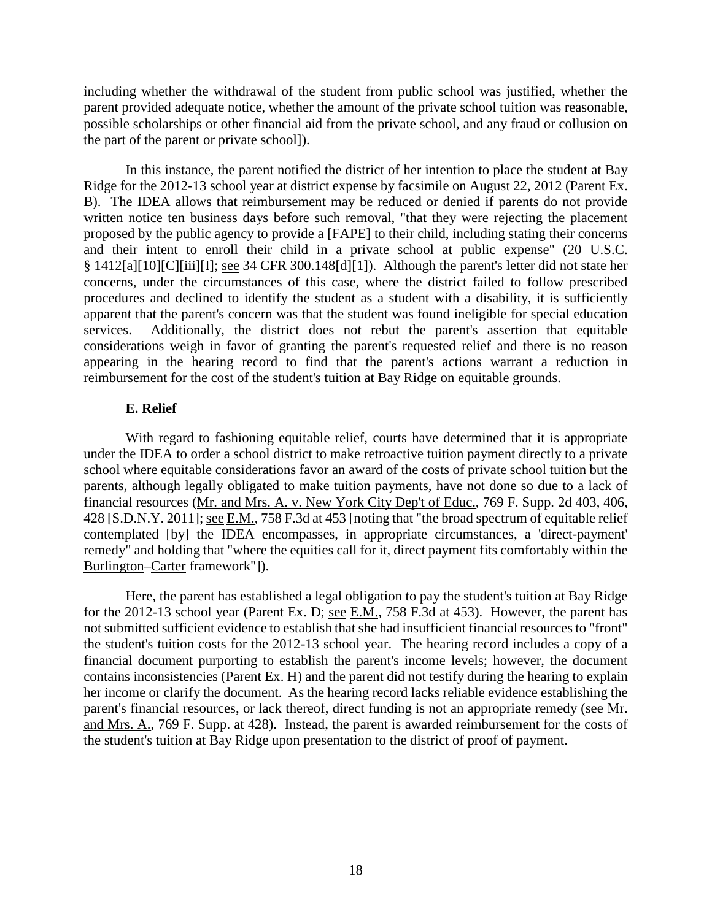including whether the withdrawal of the student from public school was justified, whether the parent provided adequate notice, whether the amount of the private school tuition was reasonable, possible scholarships or other financial aid from the private school, and any fraud or collusion on the part of the parent or private school]).

In this instance, the parent notified the district of her intention to place the student at Bay Ridge for the 2012-13 school year at district expense by facsimile on August 22, 2012 (Parent Ex. B). The IDEA allows that reimbursement may be reduced or denied if parents do not provide written notice ten business days before such removal, "that they were rejecting the placement proposed by the public agency to provide a [FAPE] to their child, including stating their concerns and their intent to enroll their child in a private school at public expense" (20 U.S.C. § 1412[a][10][C][iii][I]; see 34 CFR 300.148[d][1]). Although the parent's letter did not state her concerns, under the circumstances of this case, where the district failed to follow prescribed procedures and declined to identify the student as a student with a disability, it is sufficiently apparent that the parent's concern was that the student was found ineligible for special education services. Additionally, the district does not rebut the parent's assertion that equitable considerations weigh in favor of granting the parent's requested relief and there is no reason appearing in the hearing record to find that the parent's actions warrant a reduction in reimbursement for the cost of the student's tuition at Bay Ridge on equitable grounds.

# **E. Relief**

With regard to fashioning equitable relief, courts have determined that it is appropriate under the IDEA to order a school district to make retroactive tuition payment directly to a private school where equitable considerations favor an award of the costs of private school tuition but the parents, although legally obligated to make tuition payments, have not done so due to a lack of financial resources (Mr. and Mrs. A. v. New York City Dep't of Educ., 769 F. Supp. 2d 403, 406, 428 [S.D.N.Y. 2011]; see E.M., 758 F.3d at 453 [noting that "the broad spectrum of equitable relief contemplated [by] the IDEA encompasses, in appropriate circumstances, a 'direct-payment' remedy" and holding that "where the equities call for it, direct payment fits comfortably within the Burlington–Carter framework"]).

Here, the parent has established a legal obligation to pay the student's tuition at Bay Ridge for the 2012-13 school year (Parent Ex. D; <u>see E.M.</u>, 758 F.3d at 453). However, the parent has not submitted sufficient evidence to establish that she had insufficient financial resources to "front" the student's tuition costs for the 2012-13 school year. The hearing record includes a copy of a financial document purporting to establish the parent's income levels; however, the document contains inconsistencies (Parent Ex. H) and the parent did not testify during the hearing to explain her income or clarify the document. As the hearing record lacks reliable evidence establishing the parent's financial resources, or lack thereof, direct funding is not an appropriate remedy (see Mr. and Mrs. A., 769 F. Supp. at 428). Instead, the parent is awarded reimbursement for the costs of the student's tuition at Bay Ridge upon presentation to the district of proof of payment.